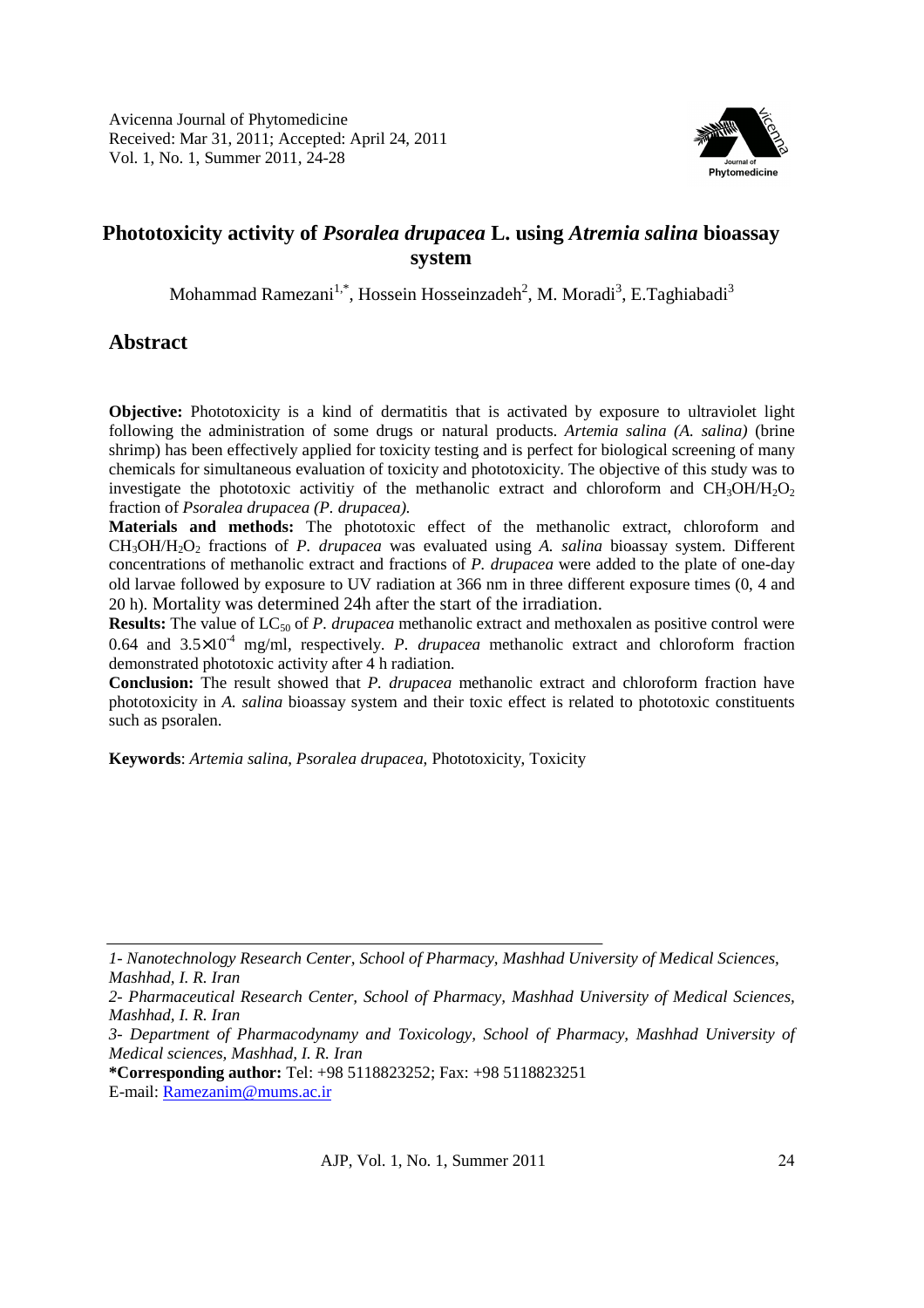

# **Phototoxicity activity of** *Psoralea drupacea* **L. using** *Atremia salina* **bioassay system**

Mohammad Ramezani<sup>1,\*</sup>, Hossein Hosseinzadeh<sup>2</sup>, M. Moradi<sup>3</sup>, E.Taghiabadi<sup>3</sup>

# **Abstract**

**Objective:** Phototoxicity is a kind of dermatitis that is activated by exposure to ultraviolet light following the administration of some drugs or natural products. *Artemia salina (A. salina)* (brine shrimp) has been effectively applied for toxicity testing and is perfect for biological screening of many chemicals for simultaneous evaluation of toxicity and phototoxicity. The objective of this study was to investigate the phototoxic activitiv of the methanolic extract and chloroform and  $CH_3OH/H_2O_2$ fraction of *Psoralea drupacea (P. drupacea).*

**Materials and methods:** The phototoxic effect of the methanolic extract, chloroform and CH3OH/H2O2 fractions of *P. drupacea* was evaluated using *A. salina* bioassay system. Different concentrations of methanolic extract and fractions of *P. drupacea* were added to the plate of one-day old larvae followed by exposure to UV radiation at 366 nm in three different exposure times (0, 4 and 20 h). Mortality was determined 24h after the start of the irradiation.

**Results:** The value of LC<sub>50</sub> of *P. drupacea* methanolic extract and methoxalen as positive control were 0.64 and  $3.5\times10^{-4}$  mg/ml, respectively. *P. drupacea* methanolic extract and chloroform fraction demonstrated phototoxic activity after 4 h radiation.

**Conclusion:** The result showed that *P. drupacea* methanolic extract and chloroform fraction have phototoxicity in *A. salina* bioassay system and their toxic effect is related to phototoxic constituents such as psoralen.

**Keywords**: *Artemia salina*, *Psoralea drupacea*, Phototoxicity, Toxicity

**\*Corresponding author:** Tel: +98 5118823252; Fax: +98 5118823251

E-mail: Ramezanim@mums.ac.ir

*<sup>1-</sup> Nanotechnology Research Center, School of Pharmacy, Mashhad University of Medical Sciences, Mashhad, I. R. Iran* 

*<sup>2-</sup> Pharmaceutical Research Center, School of Pharmacy, Mashhad University of Medical Sciences, Mashhad, I. R. Iran* 

*<sup>3-</sup> Department of Pharmacodynamy and Toxicology, School of Pharmacy, Mashhad University of Medical sciences, Mashhad, I. R. Iran*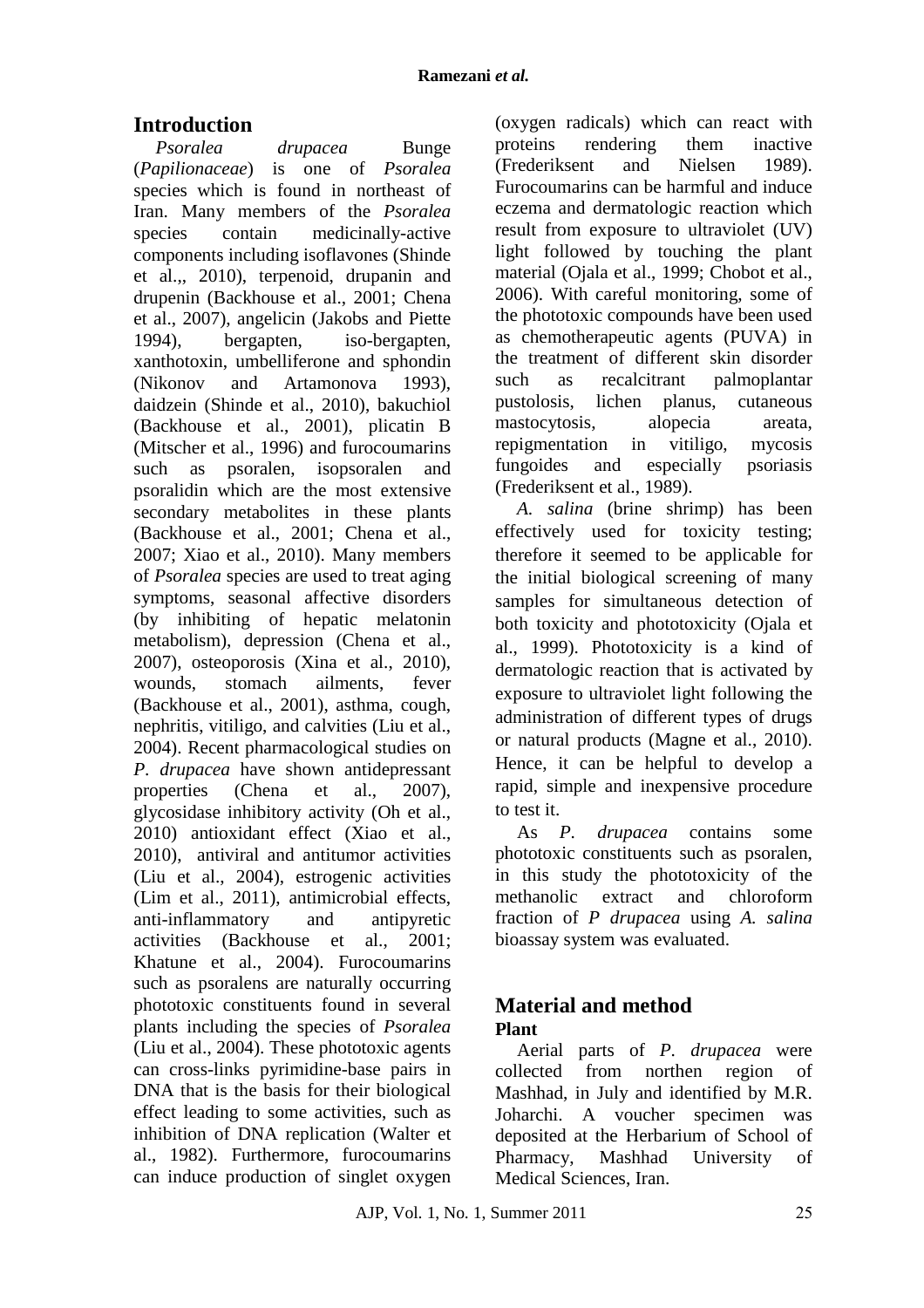# **Introduction**

*Psoralea drupacea* Bunge (*Papilionaceae*) is one of *Psoralea* species which is found in northeast of Iran. Many members of the *Psoralea* species contain medicinally-active components including isoflavones (Shinde et al.,, 2010), terpenoid, drupanin and drupenin (Backhouse et al., 2001; Chena et al., 2007), angelicin (Jakobs and Piette 1994), bergapten, iso-bergapten, xanthotoxin, umbelliferone and sphondin (Nikonov and Artamonova 1993), daidzein (Shinde et al., 2010), bakuchiol (Backhouse et al., 2001), plicatin B (Mitscher et al., 1996) and furocoumarins such as psoralen, isopsoralen and psoralidin which are the most extensive secondary metabolites in these plants (Backhouse et al., 2001; Chena et al., 2007; Xiao et al., 2010). Many members of *Psoralea* species are used to treat aging symptoms, seasonal affective disorders (by inhibiting of hepatic melatonin metabolism), depression (Chena et al., 2007), osteoporosis (Xina et al., 2010), wounds, stomach ailments, fever (Backhouse et al., 2001), asthma, cough, nephritis, vitiligo, and calvities (Liu et al., 2004). Recent pharmacological studies on *P. drupacea* have shown antidepressant properties (Chena et al., 2007), glycosidase inhibitory activity (Oh et al., 2010) antioxidant effect (Xiao et al., 2010), antiviral and antitumor activities (Liu et al., 2004), estrogenic activities (Lim et al., 2011), antimicrobial effects, anti-inflammatory and antipyretic activities (Backhouse et al., 2001; Khatune et al., 2004). Furocoumarins such as psoralens are naturally occurring phototoxic constituents found in several plants including the species of *Psoralea* (Liu et al., 2004). These phototoxic agents can cross-links pyrimidine-base pairs in DNA that is the basis for their biological effect leading to some activities, such as inhibition of DNA replication (Walter et al., 1982). Furthermore, furocoumarins can induce production of singlet oxygen

(oxygen radicals) which can react with proteins rendering them inactive (Frederiksent and Nielsen 1989). Furocoumarins can be harmful and induce eczema and dermatologic reaction which result from exposure to ultraviolet (UV) light followed by touching the plant material (Ojala et al., 1999; Chobot et al., 2006). With careful monitoring, some of the phototoxic compounds have been used as chemotherapeutic agents (PUVA) in the treatment of different skin disorder such as recalcitrant palmoplantar pustolosis, lichen planus, cutaneous mastocytosis, alopecia areata, repigmentation in vitiligo, mycosis fungoides and especially psoriasis (Frederiksent et al., 1989).

*A. salina* (brine shrimp) has been effectively used for toxicity testing; therefore it seemed to be applicable for the initial biological screening of many samples for simultaneous detection of both toxicity and phototoxicity (Ojala et al., 1999). Phototoxicity is a kind of dermatologic reaction that is activated by exposure to ultraviolet light following the administration of different types of drugs or natural products (Magne et al., 2010). Hence, it can be helpful to develop a rapid, simple and inexpensive procedure to test it.

As *P. drupacea* contains some phototoxic constituents such as psoralen, in this study the phototoxicity of the methanolic extract and chloroform fraction of *P drupacea* using *A. salina* bioassay system was evaluated.

## **Material and method Plant**

Aerial parts of *P. drupacea* were collected from northen region of Mashhad, in July and identified by M.R. Joharchi. A voucher specimen was deposited at the Herbarium of School of Pharmacy, Mashhad University of Medical Sciences, Iran.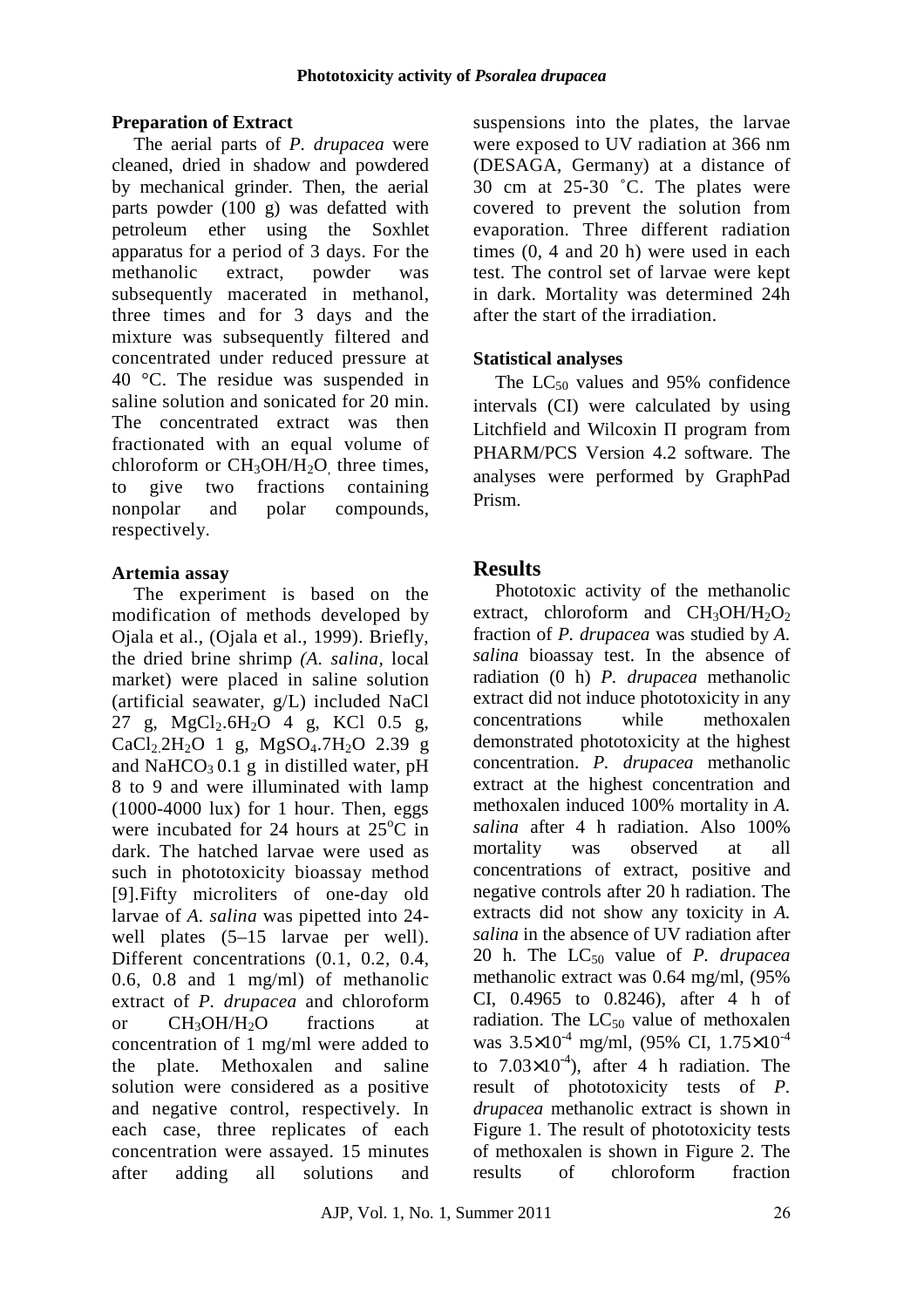### **Preparation of Extract**

The aerial parts of *P. drupacea* were cleaned, dried in shadow and powdered by mechanical grinder. Then, the aerial parts powder (100 g) was defatted with petroleum ether using the Soxhlet apparatus for a period of 3 days. For the methanolic extract, powder was subsequently macerated in methanol, three times and for 3 days and the mixture was subsequently filtered and concentrated under reduced pressure at 40 °C. The residue was suspended in saline solution and sonicated for 20 min. The concentrated extract was then fractionated with an equal volume of chloroform or  $CH<sub>3</sub>OH/H<sub>2</sub>O$ , three times, to give two fractions containing nonpolar and polar compounds, respectively.

### **Artemia assay**

The experiment is based on the modification of methods developed by Ojala et al., (Ojala et al., 1999). Briefly, the dried brine shrimp *(A. salina,* local market) were placed in saline solution (artificial seawater, g/L) included NaCl 27 g,  $MgCl<sub>2</sub>6H<sub>2</sub>O<sup>-4</sup>$  g, KCl 0.5 g, CaCl<sub>2</sub>.2H<sub>2</sub>O 1 g, MgSO<sub>4</sub>.7H<sub>2</sub>O 2.39 g and NaHCO<sub>3</sub> 0.1 g in distilled water, pH 8 to 9 and were illuminated with lamp (1000-4000 lux) for 1 hour. Then, eggs were incubated for 24 hours at  $25^{\circ}$ C in dark. The hatched larvae were used as such in phototoxicity bioassay method [9].Fifty microliters of one-day old larvae of *A. salina* was pipetted into 24 well plates  $(5-15)$  larvae per well). Different concentrations (0.1, 0.2, 0.4, 0.6, 0.8 and 1 mg/ml) of methanolic extract of *P. drupacea* and chloroform or  $CH_3OH/H_2O$  fractions at concentration of 1 mg/ml were added to the plate. Methoxalen and saline solution were considered as a positive and negative control, respectively. In each case, three replicates of each concentration were assayed. 15 minutes after adding all solutions and suspensions into the plates, the larvae were exposed to UV radiation at 366 nm (DESAGA, Germany) at a distance of 30 cm at 25-30 ˚C. The plates were covered to prevent the solution from evaporation. Three different radiation times (0, 4 and 20 h) were used in each test. The control set of larvae were kept in dark. Mortality was determined 24h after the start of the irradiation.

### **Statistical analyses**

The  $LC_{50}$  values and 95% confidence intervals (CI) were calculated by using Litchfield and Wilcoxin П program from PHARM/PCS Version 4.2 software. The analyses were performed by GraphPad Prism.

## **Results**

Phototoxic activity of the methanolic extract, chloroform and  $CH_3OH/H_2O_2$ fraction of *P. drupacea* was studied by *A. salina* bioassay test. In the absence of radiation (0 h) *P. drupacea* methanolic extract did not induce phototoxicity in any concentrations while methoxalen demonstrated phototoxicity at the highest concentration. *P. drupacea* methanolic extract at the highest concentration and methoxalen induced 100% mortality in *A. salina* after 4 h radiation. Also 100% mortality was observed at all concentrations of extract, positive and negative controls after 20 h radiation. The extracts did not show any toxicity in *A. salina* in the absence of UV radiation after 20 h. The LC<sub>50</sub> value of *P. drupacea* methanolic extract was 0.64 mg/ml, (95% CI, 0.4965 to 0.8246), after 4 h of radiation. The  $LC_{50}$  value of methoxalen was  $3.5 \times 10^{-4}$  mg/ml, (95% CI,  $1.75 \times 10^{-4}$ to  $7.03\times10^{-4}$ ), after 4 h radiation. The result of phototoxicity tests of *P. drupacea* methanolic extract is shown in Figure 1. The result of phototoxicity tests of methoxalen is shown in Figure 2. The results of chloroform fraction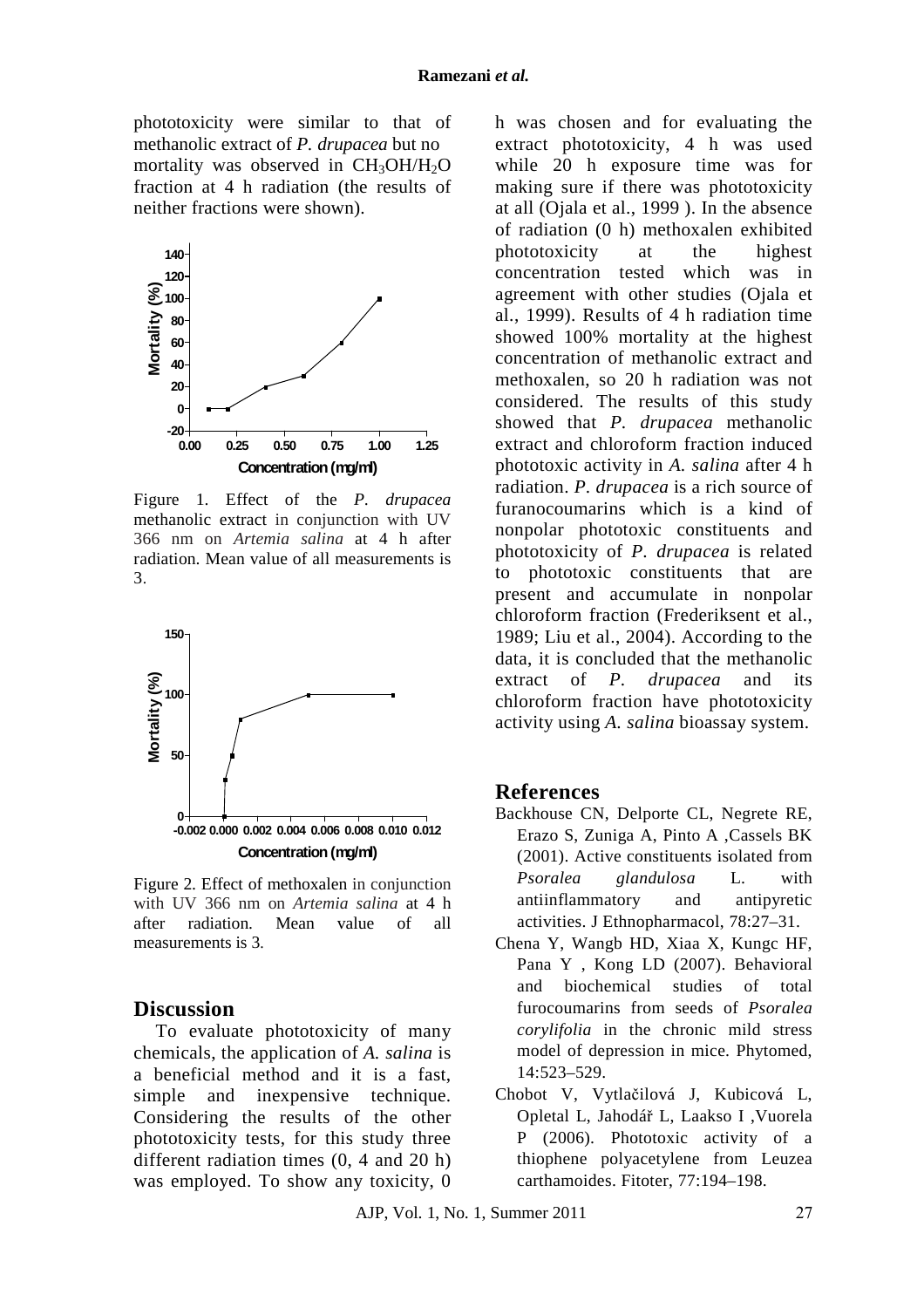phototoxicity were similar to that of methanolic extract of *P. drupacea* but no mortality was observed in  $CH<sub>3</sub>OH/H<sub>2</sub>O$ fraction at 4 h radiation (the results of neither fractions were shown).



Figure 1. Effect of the *P. drupacea* methanolic extract in conjunction with UV 366 nm on *Artemia salina* at 4 h after radiation. Mean value of all measurements is 3.



Figure 2. Effect of methoxalen in conjunction with UV 366 nm on *Artemia salina* at 4 h after radiation. Mean value of all measurements is 3.

#### **Discussion**

To evaluate phototoxicity of many chemicals, the application of *A. salina* is a beneficial method and it is a fast, simple and inexpensive technique. Considering the results of the other phototoxicity tests, for this study three different radiation times (0, 4 and 20 h) was employed. To show any toxicity, 0

h was chosen and for evaluating the extract phototoxicity, 4 h was used while 20 h exposure time was for making sure if there was phototoxicity at all (Ojala et al., 1999 ). In the absence of radiation (0 h) methoxalen exhibited phototoxicity at the highest concentration tested which was in agreement with other studies (Ojala et al., 1999). Results of 4 h radiation time showed 100% mortality at the highest concentration of methanolic extract and methoxalen, so 20 h radiation was not considered. The results of this study showed that *P. drupacea* methanolic extract and chloroform fraction induced phototoxic activity in *A. salina* after 4 h radiation. *P. drupacea* is a rich source of furanocoumarins which is a kind of nonpolar phototoxic constituents and phototoxicity of *P. drupacea* is related to phototoxic constituents that are present and accumulate in nonpolar chloroform fraction (Frederiksent et al., 1989; Liu et al., 2004). According to the data, it is concluded that the methanolic extract of *P. drupacea* and its chloroform fraction have phototoxicity activity using *A. salina* bioassay system.

#### **References**

- Backhouse CN, Delporte CL, Negrete RE, Erazo S, Zuniga A, Pinto A ,Cassels BK (2001). Active constituents isolated from *Psoralea glandulosa* L. with antiinflammatory and antipyretic activities. J Ethnopharmacol, 78:27–31.
- Chena Y, Wangb HD, Xiaa X, Kungc HF, Pana Y , Kong LD (2007). Behavioral and biochemical studies of total furocoumarins from seeds of *Psoralea corylifolia* in the chronic mild stress model of depression in mice. Phytomed, 14:523–529.
- Chobot V, Vytlačilová J, Kubicová L, Opletal L, Jahodář L, Laakso I ,Vuorela P (2006). Phototoxic activity of a thiophene polyacetylene from Leuzea carthamoides. Fitoter, 77:194–198.